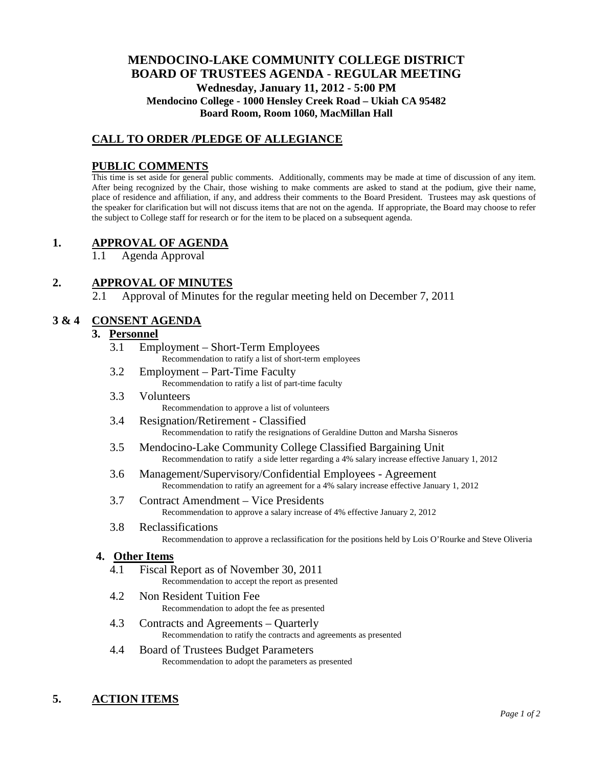# **MENDOCINO-LAKE COMMUNITY COLLEGE DISTRICT BOARD OF TRUSTEES AGENDA** - **REGULAR MEETING Wednesday, January 11, 2012 - 5:00 PM Mendocino College - 1000 Hensley Creek Road – Ukiah CA 95482 Board Room, Room 1060, MacMillan Hall**

# **CALL TO ORDER /PLEDGE OF ALLEGIANCE**

### **PUBLIC COMMENTS**

This time is set aside for general public comments. Additionally, comments may be made at time of discussion of any item. After being recognized by the Chair, those wishing to make comments are asked to stand at the podium, give their name, place of residence and affiliation, if any, and address their comments to the Board President. Trustees may ask questions of the speaker for clarification but will not discuss items that are not on the agenda. If appropriate, the Board may choose to refer the subject to College staff for research or for the item to be placed on a subsequent agenda.

## **1. APPROVAL OF AGENDA**

1.1 Agenda Approval

# **2. APPROVAL OF MINUTES**

2.1 Approval of Minutes for the regular meeting held on December 7, 2011

### **3 & 4 CONSENT AGENDA**

#### **3. Personnel**

- 3.1 Employment Short-Term Employees Recommendation to ratify a list of short-term employees
- 3.2 Employment Part-Time Faculty Recommendation to ratify a list of part-time faculty
- 3.3 Volunteers Recommendation to approve a list of volunteers
- 3.4 Resignation/Retirement Classified Recommendation to ratify the resignations of Geraldine Dutton and Marsha Sisneros
- 3.5 Mendocino-Lake Community College Classified Bargaining Unit Recommendation to ratify a side letter regarding a 4% salary increase effective January 1, 2012
- 3.6 Management/Supervisory/Confidential Employees Agreement Recommendation to ratify an agreement for a 4% salary increase effective January 1, 2012
- 3.7 Contract Amendment Vice Presidents Recommendation to approve a salary increase of 4% effective January 2, 2012
- 3.8 Reclassifications Recommendation to approve a reclassification for the positions held by Lois O'Rourke and Steve Oliveria

#### **4. Other Items**

- 4.1 Fiscal Report as of November 30, 2011 Recommendation to accept the report as presented
- 4.2 Non Resident Tuition Fee Recommendation to adopt the fee as presented
- 4.3 Contracts and Agreements Quarterly Recommendation to ratify the contracts and agreements as presented
- 4.4 Board of Trustees Budget Parameters Recommendation to adopt the parameters as presented

## **5. ACTION ITEMS**